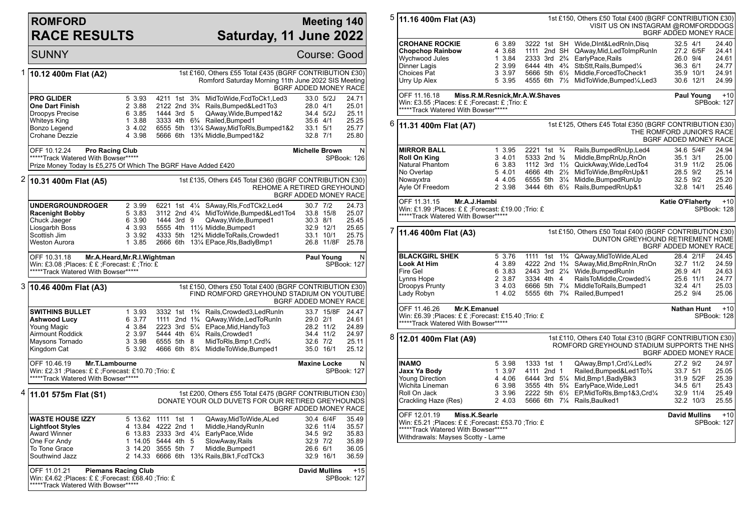## **ROMFORD RACE RESULTS**

\*\*\*\*\*Track Watered With Bowser\*\*\*\*\*

## **Meeting 140 Saturday, 11 June 2022**

SUNNY Course: Good 1 **10.12 400m Flat (A2)** 1st £160, Others £55 Total £435 (BGRF CONTRIBUTION £30) Romford Saturday Morning 11th June 2022 SIS Meeting BGRF ADDED MONEY RACE **PRO GLIDER** 5 3.93 4211 1st 3<sup>3</sup>/<sub>4</sub> MidToWide,FcdToCk1,Led3 33.0 5/2J 24.71<br> **One Dart Finish** 2 3.88 2122 2nd 3<sup>3</sup>/<sub>4</sub> Rails,Bumped&Led1To3 28.0 4/1 25.01 **One Dart Finish** 2 3.88 2122 2nd 3<sup>3</sup>/<sub>4</sub> Rails,Bumped&Led1To3 28.0 4/1 25.01<br>Droopys Precise 6 3.85 1444 3rd 5 QAway,Wide.Bumped1&2 34.4 5/2J 25.11 6 3.85 1444 3rd 5 QAway, Wide, Bumped1&2 Whiteys King 1 3.88 3333 4th 6¾ Railed,Bumped1 35.6 4/1 25.25 Bonzo Legend 3 4.02 6555 5th 13¼ SAway,MidToRls,Bumped1&2 33.1 5/1 25.77 5666 6th 13<sup>3</sup>/<sub>4</sub> Middle, Bumped1&2 OFF 10.12.24 **Pro Racing Club** \*\*\*\*\*Track Watered With Bowser\*\*\*\*\* Prize Money Today Is £5,275 Of Which The BGRF Have Added £420 **Michelle Brown** N SPBook: 126 2 **10.31 400m Flat (A5)** 1st £135, Others £45 Total £360 (BGRF CONTRIBUTION £30) REHOME A RETIRED GREYHOUND BGRF ADDED MONEY RACE **UNDERGROUNDROGER** 2 3.99 6221 1st 4¼ SAway,Rls,FcdTCk2,Led4 30.7 7/2 24.73 **Racenight Bobby** 5 3.83 3112 2nd 41/<sub>4</sub> MidToWide,Bumped&Led1To4 33.8 15/8 25.07<br>Chuck Jaeger 6 3.90 1444 3rd 9 QAway,Wide,Bumped1 30.3 8/1 25.45 Chuck Jaeger 6 3.90 1444 3rd 9 QAway,Wide,Bumped1 30.3 8/1 25.45 Liosgarbh Boss 4 3.93 5555 4th 11½ Middle,Bumped1 32.9 12/1 25.65 Scottish Jim 3 3.92 4333 5th 12¾ MiddleToRails,Crowded1 33.1 10/1 25.75 2666 6th 131/4 EPace,Rls,BadlyBmp1 OFF 10.31.18 **Mr.A.Heard,Mr.R.I.Wightman** Win: £3.08 ;Places: £ £ ;Forecast: £ ;Trio: £ \*\*\*\*\*\*Track Watered With Bowser\*\*\*\*\* **Paul Young** N SPBook: 127 3 **10.46 400m Flat (A3)** 1st £150, Others £50 Total £400 (BGRF CONTRIBUTION £30) FIND ROMFORD GREYHOUND STADIUM ON YOUTUBE BGRF ADDED MONEY RACE **SWITHINS BULLET** 1 3.93 3332 1st 1<sup>3</sup>/<sub>4</sub> Rails,Crowded3,LedRunIn 33.7 15/8F 24.47<br> **Ashwood Lucy** 6 3.77 1111 2nd 1<sup>3</sup>/<sub>4</sub> QAway.Wide.LedToRunIn 29.0 2/1 24.61 **Ashwood Lucy** 6 3.77 1111 2nd 1<sup>3</sup>/<sub>4</sub> QAway, Wide, LedToRunIn 29.0 2/1 24.61<br>
Young Magic 4 3.84 2223 3rd 5<sup>1</sup>/<sub>4</sub> EPace. Mid. Handy To 3 28.2 11/2 24.89 Young Magic 4 3.84 2223 3rd 5¼ EPace,Mid,HandyTo3 28.2 11/2 24.89 Airmount Roddick 2 3.97 5444 4th 6¼ Rails,Crowded1 34.4 11/2<br>Maysons Tornado 3 3.98 6555 5th 8 MidToRIs.Bmp1.Crd¾ 32.6 7/2 Maysons Tornado 3 3.98 6555 5th 8 MidToRls,Bmp1,Crd¾ 32.6 7/2 25.11 4666 6th 81/4 MiddleToWide,Bumped1 35.0 16/1 OFF 10.46.19 **Mr.T.Lambourne** Win: £2.31 ;Places: £ £ ;Forecast: £10.70 ;Trio: £ \*\*\*\*\*Track Watered With Bowser\*\*\*\*\* **Maxine Locke** N SPBook: 127 4 **11.01 575m Flat (S1)** 1st £200, Others £55 Total £475 (BGRF CONTRIBUTION £30) DONATE YOUR OLD DUVETS FOR OUR RETIRED GREYHOUNDS BGRF ADDED MONEY RACE **WASTE HOUSE IZZY** 5 13.62 1111 1st 1 QAway, MidToWide, ALed 30.4 6/4F 35.49<br> **Lightfoot Styles** 4 13.84 4222 2nd 1 Middle, Handy Runln 32.6 11/4 35.57 **Lightfoot Styles** 4 13.84 4222 2nd 1 Middle, HandyRunIn 32.6 11/4 35.57<br>Award Winner 6 13.83 2333 3rd 4¼ EarlyPace, Wide 34.5 9/2 35.83 Award Winner 6 13.83 2333 3rd 4¼ EarlyPace,Wide 34.5 9/2 35.83 One For Andy 1 14.05 5444 4th 5 SlowAway,Rails 32.9 7/2 35.89 To Tone Grace 3 14.20 3555 5th 7 Middle.Bumped1 To Tone Grace 3 14.20 3555 5th 7 Middle, Bumped1 26.6 6/1 36.05<br>
Southwind Jazz 2 14.33 6666 6th 13<sup>3</sup>/<sub>4</sub> Rails, Blk1, FcdTCk3 32.9 16/1 36.59 2 14.33 6666 6th 13<sup>3</sup>/<sub>4</sub> Rails, Blk1, FcdTCk3 OFF 11.01.21 **Piemans Racing Club** Win: £4.62 ;Places: £ £ ;Forecast: £68.40 ;Trio: £ **David Mullins** +15 SPBook: 127

| 5 | 11.16 400m Flat (A3)                                                                                                                                                                                                                                                                       | 1st £150, Others £50 Total £400 (BGRF CONTRIBUTION £30)<br>VISIT US ON INSTAGRAM @ROMFORDDOGS<br>BGRF ADDED MONEY RACE         |                                                                                                      |  |  |                                                                                                                                                                                                                        |                                                          |                                     |                                                                            |
|---|--------------------------------------------------------------------------------------------------------------------------------------------------------------------------------------------------------------------------------------------------------------------------------------------|--------------------------------------------------------------------------------------------------------------------------------|------------------------------------------------------------------------------------------------------|--|--|------------------------------------------------------------------------------------------------------------------------------------------------------------------------------------------------------------------------|----------------------------------------------------------|-------------------------------------|----------------------------------------------------------------------------|
|   | <b>CROHANE ROCKIE</b><br><b>Chopchop Rainbow</b><br>Wychwood Jules<br>Dinner Lagis<br>Choices Pat                                                                                                                                                                                          | 6 3.89<br>4 3.68<br>1 3.84<br>2 3.99<br>3 3.97                                                                                 | 1111 2nd SH<br>2333 3rd 2 <sup>3</sup> / <sub>4</sub><br>6444 4th 4 <sup>3</sup> / <sub>4</sub>      |  |  | 3222 1st SH Wide, DInt& Led RnIn, Disq<br>QAway, Mid, Led Tolmp Run In<br>EarlyPace, Rails<br>StbStt, Rails, Bumped1/4<br>5666 5th 61/2 Middle, Forced To Check1                                                       | $32.5$ 4/1<br>26.0 9/4<br>36.3 6/1                       | 27.2 6/5F<br>35.9 10/1              | 24.40<br>24.41<br>24.61<br>24.77<br>24.91                                  |
|   | Urry Up Alex<br>5 3.95<br>4555 6th 71/ <sub>2</sub> MidToWide, Bumped1/ <sub>4</sub> , Led 3<br>30.6 12/1<br>24.99<br>OFF 11.16.18<br>Miss.R.M.Resnick, Mr.A.W.Shaves<br>Paul Young<br>Win: £3.55 ;Places: £ £ ;Forecast: £ ;Trio: £<br>SPBook: 127<br>*****Track Watered With Bowser***** |                                                                                                                                |                                                                                                      |  |  |                                                                                                                                                                                                                        |                                                          |                                     | $+10$                                                                      |
| 6 | 1st £125, Others £45 Total £350 (BGRF CONTRIBUTION £30)<br>11.31 400m Flat (A7)<br>THE ROMFORD JUNIOR'S RACE<br>BGRF ADDED MONEY RACE                                                                                                                                                      |                                                                                                                                |                                                                                                      |  |  |                                                                                                                                                                                                                        |                                                          |                                     |                                                                            |
|   | <b>MIRROR BALL</b><br><b>Roll On King</b><br>Natural Phantom<br>No Overlap<br>Nowayxtra<br>Ayle Of Freedom                                                                                                                                                                                 | 1 3.95<br>3 4.01<br>6 3.83<br>5 4.01<br>4 4.05<br>2 3.98                                                                       | 2221 1st <sup>3</sup> / <sub>4</sub><br>5333 2nd 3/4<br>4666 4th 2½                                  |  |  | Rails, Bumped RnUp, Led4<br>Middle, BmpRnUp, RnOn<br>1112 3rd 11/2 QuickAway, Wide, Led To4<br>MidToWide, BmpRnUp&1<br>6555 5th 31/4 Middle, Bumped Run Up<br>3444 6th 61/2 Rails, Bumped RnUp&1                       | 35.1 3/1<br>28.5 9/2<br>32.5 9/2                         | 34.6 5/4F<br>31.9 11/2<br>32.8 14/1 | 24.94<br>25.00<br>25.06<br>25.14<br>25.20<br>25.46                         |
|   | OFF 11.31.15<br>Mr.A.J.Hambi<br><b>Katie O'Flaherty</b><br>$+10$<br>Win: £1.99 ;Places: £ £ ;Forecast: £19.00 ;Trio: £<br>SPBook: 128<br>*****Track Watered With Bowser*****                                                                                                               |                                                                                                                                |                                                                                                      |  |  |                                                                                                                                                                                                                        |                                                          |                                     |                                                                            |
| 7 | 1st £150, Others £50 Total £400 (BGRF CONTRIBUTION £30)<br>11.46 400m Flat (A3)<br>DUNTON GREYHOUND RETIREMENT HOME<br>BGRF ADDED MONEY RACE                                                                                                                                               |                                                                                                                                |                                                                                                      |  |  |                                                                                                                                                                                                                        |                                                          |                                     |                                                                            |
|   | <b>BLACKGIRL SHEK</b><br>Look At Him<br>Fire Gel<br>Lynns Hope<br>Droopys Prunty<br>Lady Robyn                                                                                                                                                                                             | 5 3.76<br>4 3.89<br>6 3.83<br>2 3.87<br>3 4.03<br>14.02                                                                        | 1111 1st 1 <sup>3</sup> / <sub>4</sub><br>4222 2nd 1 <sup>3</sup> / <sub>4</sub><br>3334 4th 4       |  |  | QAway, MidToWide, ALed<br>SAway, Mid, BmpRnIn, RnOn<br>2443 3rd 21/4 Wide, Bumped Run In<br>RailsToMiddle,Crowded1/4<br>6666 5th 71/4 MiddleToRails, Bumped1<br>5555 6th 7 <sup>3</sup> / <sub>4</sub> Railed, Bumped1 | 26.9 4/1<br>32.4 4/1<br>25.2 9/4                         | 28.4 2/1F<br>32.7 11/2<br>25.6 11/1 | 24.45<br>24.59<br>24.63<br>24.77<br>25.03<br>25.06                         |
|   | OFF 11.46.26<br>Mr.K.Emanuel<br><b>Nathan Hunt</b><br>Win: £6.39 ;Places: £ £ ;Forecast: £15.40 ;Trio: £<br>SPBook: 128<br>*****Track Watered With Bowser*****                                                                                                                             |                                                                                                                                |                                                                                                      |  |  |                                                                                                                                                                                                                        |                                                          |                                     | $+10$                                                                      |
| 8 | 12.01 400m Flat (A9)                                                                                                                                                                                                                                                                       | 1st £110, Others £40 Total £310 (BGRF CONTRIBUTION £30)<br>ROMFORD GREYHOUND STADIUM SUPPORTS THE NHS<br>BGRF ADDED MONEY RACE |                                                                                                      |  |  |                                                                                                                                                                                                                        |                                                          |                                     |                                                                            |
|   | <b>INAMO</b><br>Jaxx Ya Body<br><b>Young Direction</b><br>Wichita Lineman<br>Roll On Jack<br>Crackling Haze (Res)<br>OFF 12.01.19<br>Miss.K.Searle<br>Win: £5.21 ;Places: £ £ ;Forecast: £53.70 ;Trio: £<br>*****Track Watered With Bowser*****                                            | 5 3.98<br>1 3.97<br>4 4.06<br>6 3.98<br>3 3.96<br>2 4.03                                                                       | 1333 1st 1<br>4111 2nd 1<br>6444 3rd 51/4<br>3555 4th 5 <sup>3</sup> / <sub>4</sub><br>2222 5th 61/2 |  |  | QAway, Bmp1, Crd1/4, Led3/4<br>Railed, Bumped&Led1To3/4<br>Mid, Bmp1, Badly Blk3<br>EarlyPace, Wide, Led1<br>EP, MidToRIs, Bmp1&3, Crd1/4<br>5666 6th 71/4 Rails, Baulked1                                             | 27.2 9/2<br>33.7 5/1<br>34.5 6/1<br><b>David Mullins</b> | 31.9 5/2F<br>32.9 11/4<br>32.2 10/3 | 24.97<br>25.05<br>25.39<br>25.43<br>25.49<br>25.55<br>$+10$<br>SPBook: 127 |
|   |                                                                                                                                                                                                                                                                                            |                                                                                                                                |                                                                                                      |  |  |                                                                                                                                                                                                                        |                                                          |                                     |                                                                            |